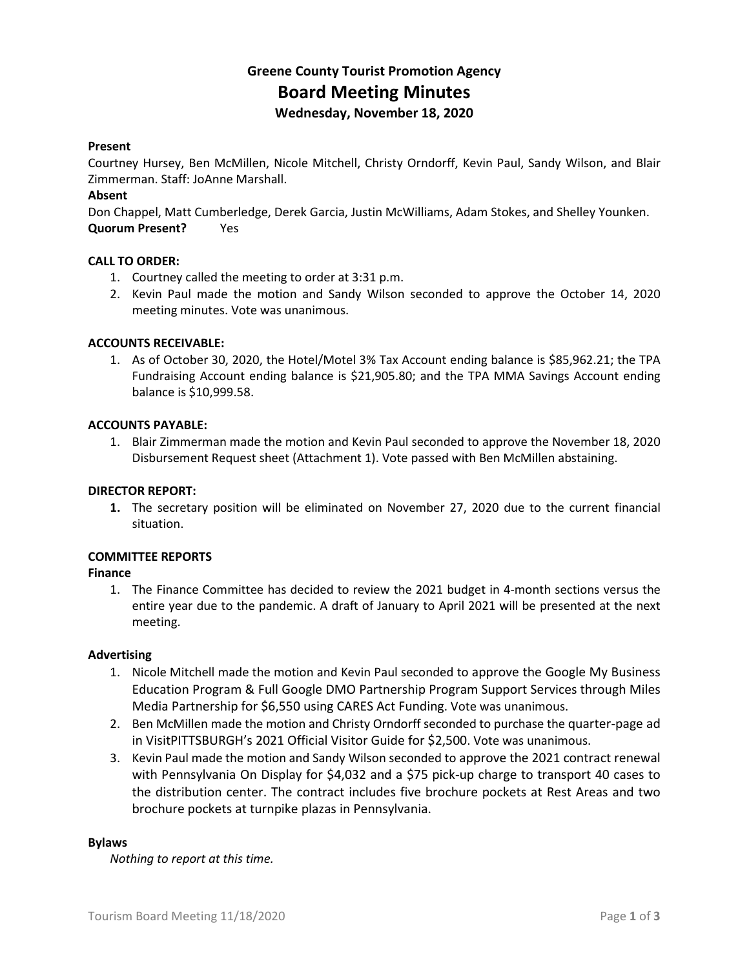# **Greene County Tourist Promotion Agency Board Meeting Minutes Wednesday, November 18, 2020**

# **Present**

Courtney Hursey, Ben McMillen, Nicole Mitchell, Christy Orndorff, Kevin Paul, Sandy Wilson, and Blair Zimmerman. Staff: JoAnne Marshall.

# **Absent**

Don Chappel, Matt Cumberledge, Derek Garcia, Justin McWilliams, Adam Stokes, and Shelley Younken. **Quorum Present?** Yes

## **CALL TO ORDER:**

- 1. Courtney called the meeting to order at 3:31 p.m.
- 2. Kevin Paul made the motion and Sandy Wilson seconded to approve the October 14, 2020 meeting minutes. Vote was unanimous.

# **ACCOUNTS RECEIVABLE:**

1. As of October 30, 2020, the Hotel/Motel 3% Tax Account ending balance is \$85,962.21; the TPA Fundraising Account ending balance is \$21,905.80; and the TPA MMA Savings Account ending balance is \$10,999.58.

## **ACCOUNTS PAYABLE:**

1. Blair Zimmerman made the motion and Kevin Paul seconded to approve the November 18, 2020 Disbursement Request sheet (Attachment 1). Vote passed with Ben McMillen abstaining.

## **DIRECTOR REPORT:**

**1.** The secretary position will be eliminated on November 27, 2020 due to the current financial situation.

## **COMMITTEE REPORTS**

## **Finance**

1. The Finance Committee has decided to review the 2021 budget in 4-month sections versus the entire year due to the pandemic. A draft of January to April 2021 will be presented at the next meeting.

## **Advertising**

- 1. Nicole Mitchell made the motion and Kevin Paul seconded to approve the Google My Business Education Program & Full Google DMO Partnership Program Support Services through Miles Media Partnership for \$6,550 using CARES Act Funding. Vote was unanimous.
- 2. Ben McMillen made the motion and Christy Orndorff seconded to purchase the quarter-page ad in VisitPITTSBURGH's 2021 Official Visitor Guide for \$2,500. Vote was unanimous.
- 3. Kevin Paul made the motion and Sandy Wilson seconded to approve the 2021 contract renewal with Pennsylvania On Display for \$4,032 and a \$75 pick-up charge to transport 40 cases to the distribution center. The contract includes five brochure pockets at Rest Areas and two brochure pockets at turnpike plazas in Pennsylvania.

## **Bylaws**

*Nothing to report at this time.*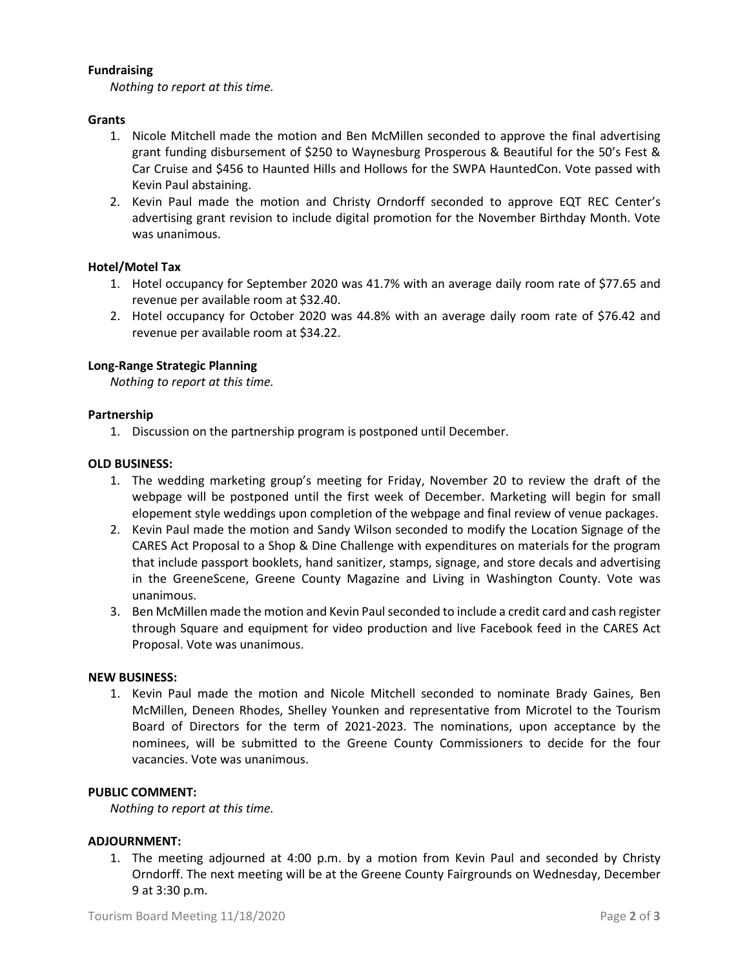# **Fundraising**

*Nothing to report at this time.*

# **Grants**

- 1. Nicole Mitchell made the motion and Ben McMillen seconded to approve the final advertising grant funding disbursement of \$250 to Waynesburg Prosperous & Beautiful for the 50's Fest & Car Cruise and \$456 to Haunted Hills and Hollows for the SWPA HauntedCon. Vote passed with Kevin Paul abstaining.
- 2. Kevin Paul made the motion and Christy Orndorff seconded to approve EQT REC Center's advertising grant revision to include digital promotion for the November Birthday Month. Vote was unanimous.

# **Hotel/Motel Tax**

- 1. Hotel occupancy for September 2020 was 41.7% with an average daily room rate of \$77.65 and revenue per available room at \$32.40.
- 2. Hotel occupancy for October 2020 was 44.8% with an average daily room rate of \$76.42 and revenue per available room at \$34.22.

# **Long-Range Strategic Planning**

*Nothing to report at this time.*

# **Partnership**

1. Discussion on the partnership program is postponed until December.

## **OLD BUSINESS:**

- 1. The wedding marketing group's meeting for Friday, November 20 to review the draft of the webpage will be postponed until the first week of December. Marketing will begin for small elopement style weddings upon completion of the webpage and final review of venue packages.
- 2. Kevin Paul made the motion and Sandy Wilson seconded to modify the Location Signage of the CARES Act Proposal to a Shop & Dine Challenge with expenditures on materials for the program that include passport booklets, hand sanitizer, stamps, signage, and store decals and advertising in the GreeneScene, Greene County Magazine and Living in Washington County. Vote was unanimous.
- 3. Ben McMillen made the motion and Kevin Paul seconded to include a credit card and cash register through Square and equipment for video production and live Facebook feed in the CARES Act Proposal. Vote was unanimous.

## **NEW BUSINESS:**

1. Kevin Paul made the motion and Nicole Mitchell seconded to nominate Brady Gaines, Ben McMillen, Deneen Rhodes, Shelley Younken and representative from Microtel to the Tourism Board of Directors for the term of 2021-2023. The nominations, upon acceptance by the nominees, will be submitted to the Greene County Commissioners to decide for the four vacancies. Vote was unanimous.

## **PUBLIC COMMENT:**

*Nothing to report at this time.*

## **ADJOURNMENT:**

1. The meeting adjourned at 4:00 p.m. by a motion from Kevin Paul and seconded by Christy Orndorff. The next meeting will be at the Greene County Fairgrounds on Wednesday, December 9 at 3:30 p.m.